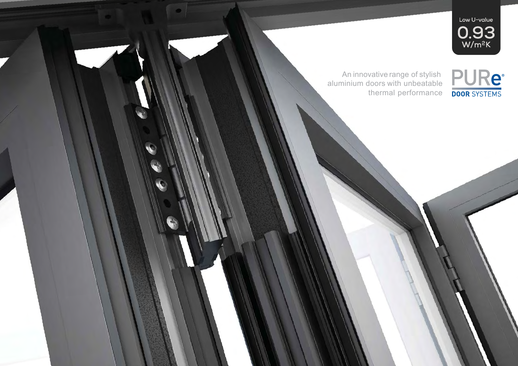

An innovative range of stylish aluminium doors with unbeatable thermal performance

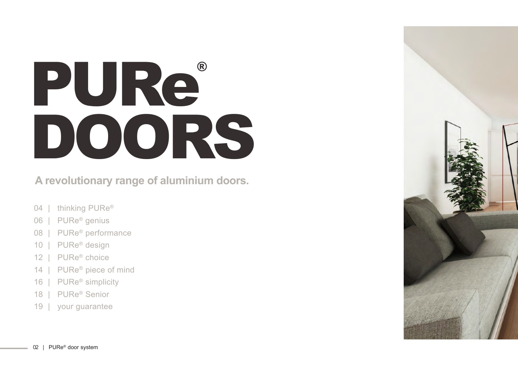# **PURe® DOORS**

**A revolutionary range of aluminium doors.**

- 04 | thinking PURe<sup>®</sup>
- 06 | PURe<sup>®</sup> genius
- 08 | PURe<sup>®</sup> performance
- 10 | PURe® design
- 12 | PURe<sup>®</sup> choice
- 14 | PURe<sup>®</sup> piece of mind
- 16 | PURe<sup>®</sup> simplicity
- 18 | PURe<sup>®</sup> Senior
- 19 | your guarantee

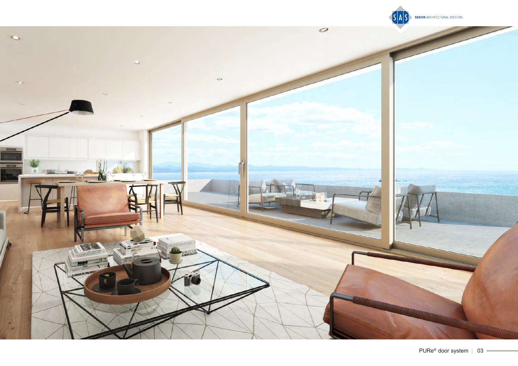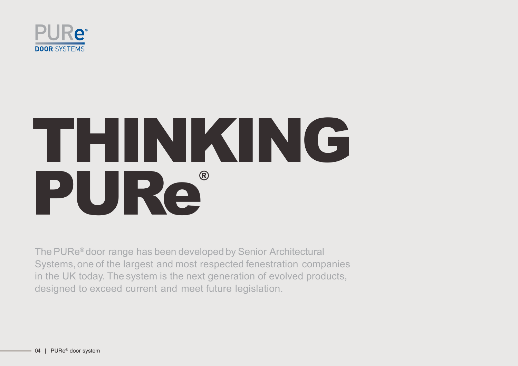

# **THINKING PURe®**

The PURe® door range has been developed by Senior Architectural Systems,one of the largest and most respected fenestration companies in the UK today. The system is the next generation of evolved products, designed to exceed current and meet future legislation.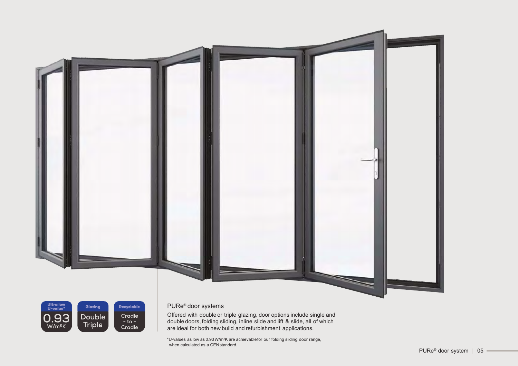

PURe® door systems

 $\overline{\underset{\text{W/m}^2\text{K}}{\text{O.93}}}$ 

Double

**Triple** 

Cradle  $-$  to  $-$ 

Cradle

Offered with double or triple glazing, door options include single and double doors, folding sliding, inline slide and lift & slide, all of which are ideal for both new build and refurbishment applications.

\*U-values as low as 0.93W/m2K are achievablefor our folding sliding door range, when calculated as a CENstandard.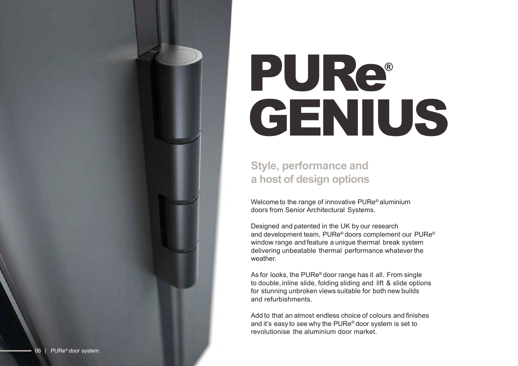

## **PURe® GENIUS**

### **Style , performance and a host o f design options**

Welcome to the range of innovative PURe® aluminium doors fro m Senio r Architectural Systems.

Designed and patented in the UK by our research and development team, PURe ® doors complement our PURe ® window range an d feature a unique thermal break system delivering unbeatable thermal performance whateve r the weather.

As fo r looks, the PURe ® door range has it all . From single to double ,inlin e slide, folding slidin g an d lift & slide options fo r stunning unbroken view s suitable fo r both new builds an d refurbishments.

Ad d to that an almost endless choice of colours and finishes and it's eas y to see why the PURe ® door system is set to revolutionis e the aluminiu m doo r market.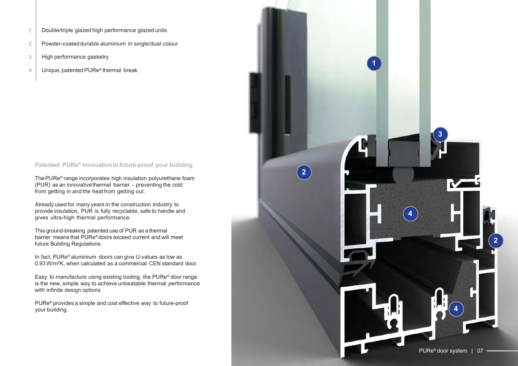- Double/triple glazed high performance glazed units **1**
- Powder-coateddurable aluminium in single/dual colour **2**
- High performance gasketry **3**
- Unique, patented PURe® thermal break **4**

#### **Patented PURe® innovationto future-proof your building**

The PURe® range incorporates high insulation polyurethane foam (PUR) as an innovativethermal barrier - preventing the cold from getting in and the heat from getting out.

Already used for many years in the construction industry to provide insulation, PUR is fully recyclable, safe to handle and gives ultra-high thermal performance.

This ground-breaking patented use of PUR as a thermal barrier means that PURe® doors exceed current and will meet future Building Regulations.

In fact, PURe® aluminium doors can give U-values as low as 0.93W/m<sup>2</sup>K, when calculated as a commercial CEN standard door.

Easy to manufacture using existing tooling, the PURe® door range is the new, simple way to achieve unbeatable thermal performance with infinite design options.

PURe® provides a simple and cost effective way to future-proof

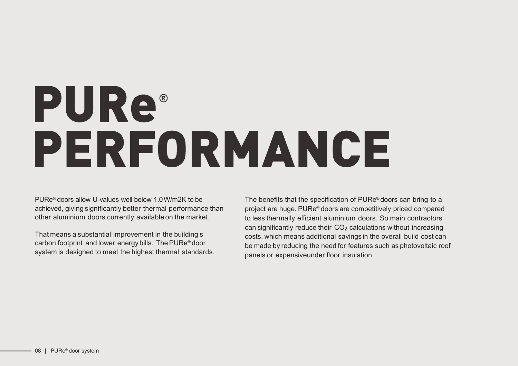## **®**PERFORMANCE

PURe® doors allow U-values well below 1.0W/m2K to be achieved, giving significantly better thermal performance than other aluminium doors currently available on the market.

That means a substantial improvement in the building's carbon footprint and lower energy bills. ThePURe® door system is designed to meet the highest thermal standards. The benefits that the specification of PURe® doors can bring to a project are huge. PURe® doors are competitively priced compared to less thermally efficient aluminium doors. So main contractors can significantly reduce their  $CO<sub>2</sub>$  calculations without increasing costs, which means additional savings in the overall build cost can be made by reducing the need for features such as photovoltaic roof panels or expensiveunder floor insulation.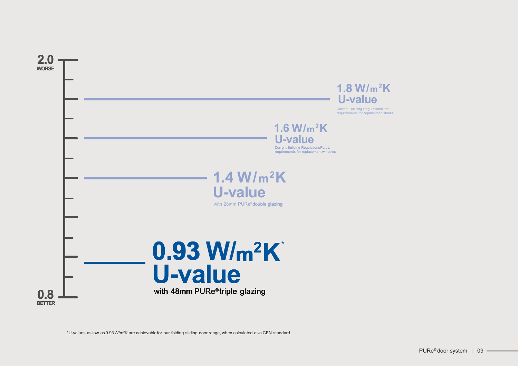

\*U-values as low as 0.93W/m2K are achievablefor our folding sliding door range, when calculated as a CEN standard.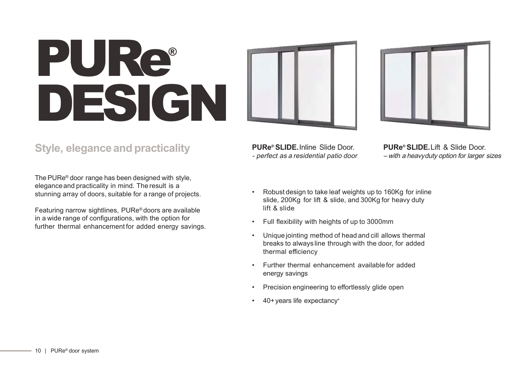## **PURe® DESIGN**





#### **Style, eleganceand practicality**

The PURe® door range has been designed with style, eleganceand practicality in mind. The result is a stunning array of doors, suitable for a range of projects.

Featuring narrow sightlines, PURe® doors are available in a wide range of configurations, with the option for further thermal enhancement for added energy savings. **PURe® SLIDE.**Inline Slide Door. - perfect as <sup>a</sup> residential patio door **PURe® SLIDE.**Lift & Slide Door. – with <sup>a</sup> heavyduty option for larger sizes

- Robust design to take leaf weights up to 160Kg for inline slide, 200Kg for lift & slide, and 300Kg for heavy duty lift & slide
- Full flexibility with heights of up to 3000mm
- Unique jointing method of head and cill allows thermal breaks to always line through with the door, for added thermal efficiency
- Further thermal enhancement available for added energy savings
- Precision engineering to effortlessly glide open
- 40+years life expectancy\*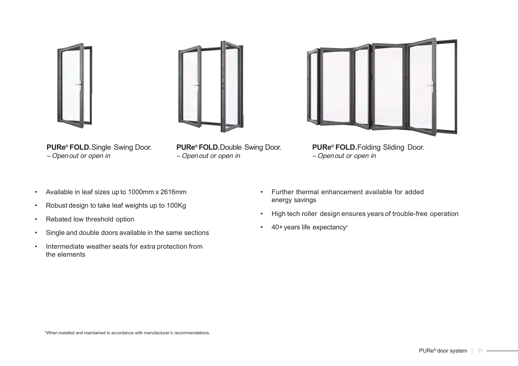

**PURe® FOLD.**Folding Sliding Door. – Openout or open in

- **PURe® FOLD.**Single Swing Door. – Openout or open in
- **PURe® FOLD.**Double Swing Door. – Openout or open in
- Available in leaf sizes up to 1000mm x 2616mm
- Robust design to take leaf weights up to 100Kg
- Rebated low threshold option
- Single and double doors available in the same sections
- Intermediate weather seals for extra protection from the elements
- Further thermal enhancement available for added energy savings
- High tech roller design ensures years of trouble-free operation
- 40+years life expectancy\*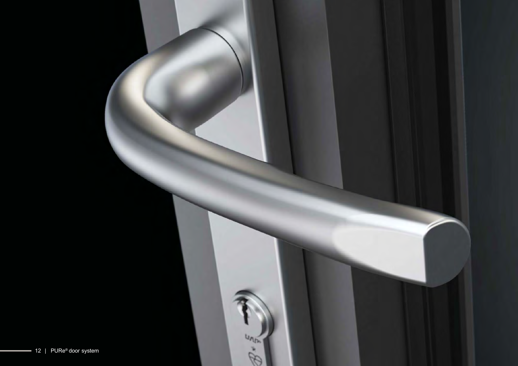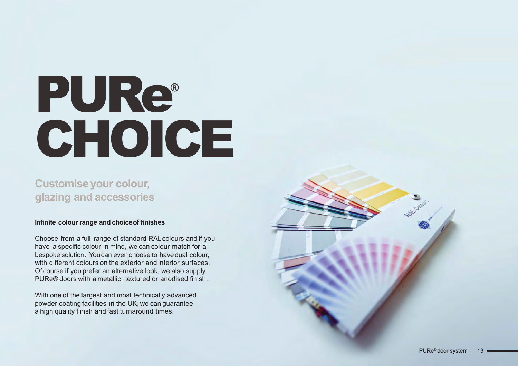## **PURe® CHOICE**

### **Customis eyour colour, glazing and accessories**

#### **In finite colour rang e and choic eof finishes**

Choose from a full range of standard RA Lcolours and if you have a specific colour in mind, we can colour match for a bespoke solution. Yo ucan eve n choose t o hav edual colour, with di fferent colours on the exterior and interio r surfaces. O f course if you prefer an alternative look, we also supply PURe® doors wit h a metallic , textured o r anodised finish.

With one of the largest and most technically advanced powder coating facilities in the UK, we can guarantee a high quality finish and fast turnaround times.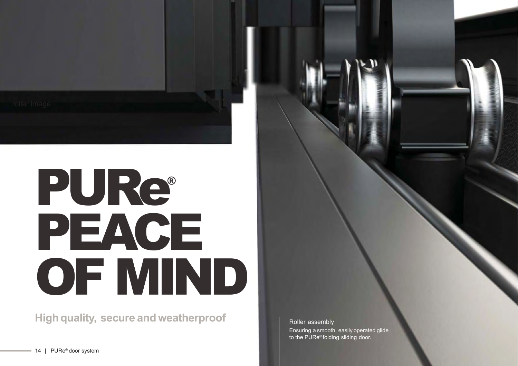## **PURe® PEACE OF MIND**

**Highquality, secure and weatherproof**

Roller assembly Ensuring a smooth, easily operated glide to the PURe® folding sliding door.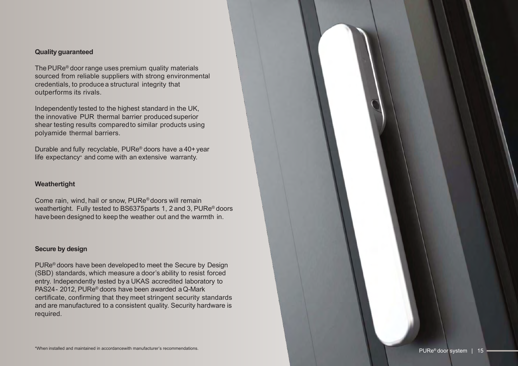#### **Quality guaranteed**

ThePURe® door range uses premium quality materials sourced from reliable suppliers with strong environmental credentials, to producea structural integrity that outperforms its rivals.

Independently tested to the highest standard in the UK, the innovative PUR thermal barrier produced superior shear testing results comparedto similar products using polyamide thermal barriers.

Durable and fully recyclable, PURe® doors have a 40+year life expectancy\* and come with an extensive warranty.

#### **Weathertight**

Come rain, wind, hail or snow, PURe® doors will remain weathertight. Fully tested to BS6375parts 1, 2 and 3, PURe® doors havebeen designed to keep the weather out and the warmth in.

#### **Secure by design**

PURe® doors have been developedto meet the Secure by Design (SBD) standards, which measure a door's ability to resist forced entry. Independently tested by a UKAS accredited laboratory to PAS24- 2012, PURe® doors have been awarded aQ-Mark certificate, confirming that they meet stringent security standards and are manufactured to a consistent quality. Security hardware is required.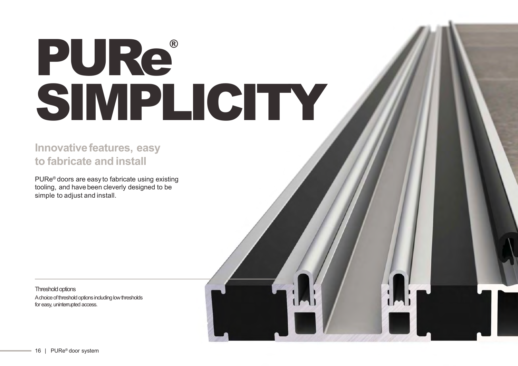## **PURe® SIMPLICITY**

### **Innovativefeatures, easy to fabricate and install**

PURe® doors are easy to fabricate using existing tooling, and have been cleverly designed to be simple to adjust and install.

**Threshold options** 

A choice of threshold options including low thresholds for easy, uninterrupted access.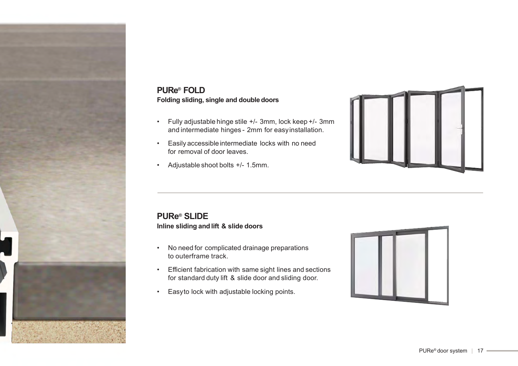

#### **Folding sliding, single and doubledoors PURe® FOLD**

- Fully adjustable hinge stile +/- 3mm, lock keep +/- 3mm and intermediate hinges - 2mm for easyinstallation.
- Easily accessible intermediate locks with no need for removal of door leaves.
- Adjustable shoot bolts +/- 1.5mm.



#### **Inline sliding andlift & slide doors PURe® SLIDE**

- No need for complicated drainage preparations to outerframe track.
- Efficient fabrication with same sight lines and sections for standard duty lift & slide door and sliding door.
- Easyto lock with adjustable locking points.

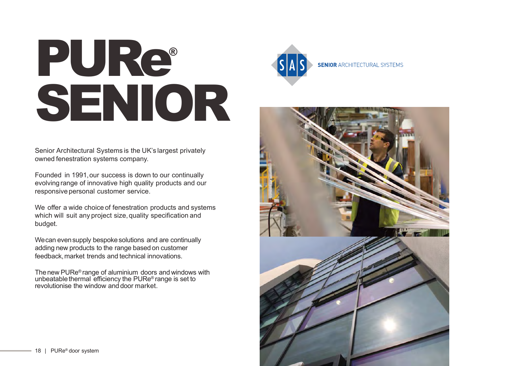## **PURe® SENIOR**



Senior Architectural Systems is the UK's largest privately owned fenestration systems company.

Founded in 1991,our success is down to our continually evolving range of innovative high quality products and our responsive personal customer service.

We offer a wide choice of fenestration products and systems which will suit any project size, quality specification and budget.

We can even supply bespoke solutions and are continually adding new products to the range based on customer feedback,market trends and technical innovations.

The new PURe<sup>®</sup> range of aluminium doors and windows with unbeatablethermal efficiency the PURe® range is set to revolutionise the window and door market.

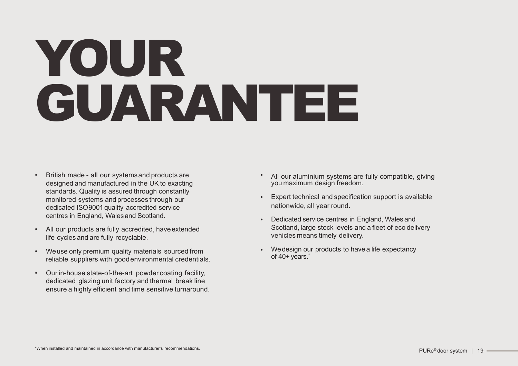## **YOUR GUARANTEE**

- British made all our systemsand products are designed and manufactured in the UK to exacting standards. Quality is assured through constantly monitored systems and processes through our dedicated ISO9001quality accredited service centres in England, Walesand Scotland.
- All our products are fully accredited, haveextended life cycles and are fully recyclable.
- Weuse only premium quality materials sourced from reliable suppliers with goodenvironmental credentials.
- Our in-house state-of-the-art powder coating facility, dedicated glazing unit factory and thermal break line ensure a highly efficient and time sensitive turnaround.
- All our aluminium systems are fully compatible, giving you maximum design freedom.
- Expert technical and specification support is available nationwide, all year round.
- Dedicated service centres in England, Wales and Scotland, large stock levels and a fleet of eco delivery vehicles means timely delivery.
- We design our products to have a life expectancy of 40+ years.\*